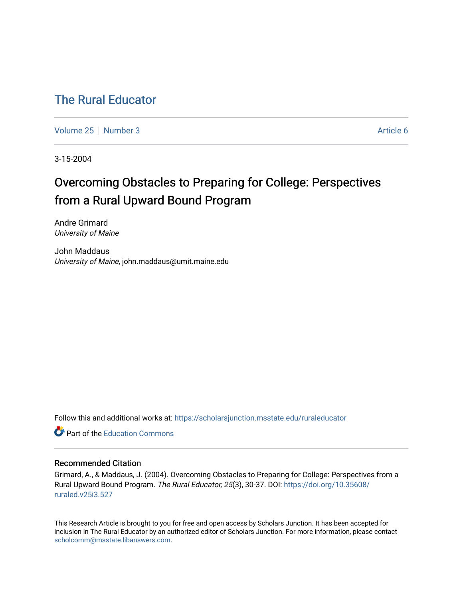# [The Rural Educator](https://scholarsjunction.msstate.edu/ruraleducator)

[Volume 25](https://scholarsjunction.msstate.edu/ruraleducator/vol25) [Number 3](https://scholarsjunction.msstate.edu/ruraleducator/vol25/iss3) Article 6

3-15-2004

# Overcoming Obstacles to Preparing for College: Perspectives from a Rural Upward Bound Program

Andre Grimard University of Maine

John Maddaus University of Maine, john.maddaus@umit.maine.edu

Follow this and additional works at: [https://scholarsjunction.msstate.edu/ruraleducator](https://scholarsjunction.msstate.edu/ruraleducator?utm_source=scholarsjunction.msstate.edu%2Fruraleducator%2Fvol25%2Fiss3%2F6&utm_medium=PDF&utm_campaign=PDFCoverPages)

**C** Part of the [Education Commons](http://network.bepress.com/hgg/discipline/784?utm_source=scholarsjunction.msstate.edu%2Fruraleducator%2Fvol25%2Fiss3%2F6&utm_medium=PDF&utm_campaign=PDFCoverPages)

# Recommended Citation

Grimard, A., & Maddaus, J. (2004). Overcoming Obstacles to Preparing for College: Perspectives from a Rural Upward Bound Program. The Rural Educator, 25(3), 30-37. DOI: [https://doi.org/10.35608/](https://doi.org/10.35608/ruraled.v25i3.527) [ruraled.v25i3.527](https://doi.org/10.35608/ruraled.v25i3.527)

This Research Article is brought to you for free and open access by Scholars Junction. It has been accepted for inclusion in The Rural Educator by an authorized editor of Scholars Junction. For more information, please contact [scholcomm@msstate.libanswers.com.](mailto:scholcomm@msstate.libanswers.com)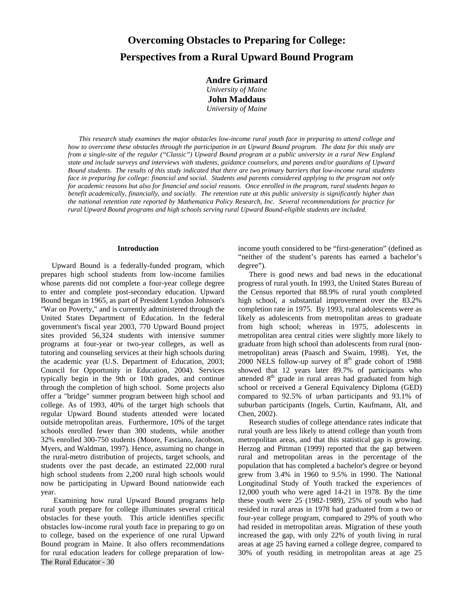# **Overcoming Obstacles to Preparing for College: Perspectives from a Rural Upward Bound Program**

**Andre Grimard**  *University of Maine* **John Maddaus**  *University of Maine* 

*This research study examines the major obstacles low-income rural youth face in preparing to attend college and how to overcome these obstacles through the participation in an Upward Bound program. The data for this study are from a single-site of the regular ("Classic") Upward Bound program at a public university in a rural New England state and include surveys and interviews with students, guidance counselors, and parents and/or guardians of Upward Bound students. The results of this study indicated that there are two primary barriers that low-income rural students face in preparing for college: financial and social. Students and parents considered applying to the program not only for academic reasons but also for financial and social reasons. Once enrolled in the program, rural students began to benefit academically, financially, and socially. The retention rate at this public university is significantly higher than the national retention rate reported by Mathematica Policy Research, Inc. Several recommendations for practice for rural Upward Bound programs and high schools serving rural Upward Bound-eligible students are included.*

#### **Introduction**

Upward Bound is a federally-funded program, which prepares high school students from low-income families whose parents did not complete a four-year college degree to enter and complete post-secondary education. Upward Bound began in 1965, as part of President Lyndon Johnson's "War on Poverty," and is currently administered through the United States Department of Education. In the federal government's fiscal year 2003, 770 Upward Bound project sites provided 56,324 students with intensive summer programs at four-year or two-year colleges, as well as tutoring and counseling services at their high schools during the academic year (U.S. Department of Education, 2003; Council for Opportunity in Education, 2004). Services typically begin in the 9th or 10th grades, and continue through the completion of high school. Some projects also offer a "bridge" summer program between high school and college. As of 1993, 40% of the target high schools that regular Upward Bound students attended were located outside metropolitan areas. Furthermore, 10% of the target schools enrolled fewer than 300 students, while another 32% enrolled 300-750 students (Moore, Fasciano, Jacobson, Myers, and Waldman, 1997). Hence, assuming no change in the rural-metro distribution of projects, target schools, and students over the past decade, an estimated 22,000 rural high school students from 2,200 rural high schools would now be participating in Upward Bound nationwide each year.

The Rural Educator - 30 Examining how rural Upward Bound programs help rural youth prepare for college illuminates several critical obstacles for these youth. This article identifies specific obstacles low-income rural youth face in preparing to go on to college, based on the experience of one rural Upward Bound program in Maine. It also offers recommendations for rural education leaders for college preparation of lowincome youth considered to be "first-generation" (defined as "neither of the student's parents has earned a bachelor's degree").

There is good news and bad news in the educational progress of rural youth. In 1993, the United States Bureau of the Census reported that 88.9% of rural youth completed high school, a substantial improvement over the 83.2% completion rate in 1975. By 1993, rural adolescents were as likely as adolescents from metropolitan areas to graduate from high school; whereas in 1975, adolescents in metropolitan area central cities were slightly more likely to graduate from high school than adolescents from rural (nonmetropolitan) areas (Paasch and Swaim, 1998). Yet, the 2000 NELS follow-up survey of  $8<sup>th</sup>$  grade cohort of 1988 showed that 12 years later 89.7% of participants who attended 8<sup>th</sup> grade in rural areas had graduated from high school or received a General Equivalency Diploma (GED) compared to 92.5% of urban participants and 93.1% of suburban participants (Ingels, Curtin, Kaufmann, Alt, and Chen, 2002).

Research studies of college attendance rates indicate that rural youth are less likely to attend college than youth from metropolitan areas, and that this statistical gap is growing. Herzog and Pittman (1999) reported that the gap between rural and metropolitan areas in the percentage of the population that has completed a bachelor's degree or beyond grew from 3.4% in 1960 to 9.5% in 1990. The National Longitudinal Study of Youth tracked the experiences of 12,000 youth who were aged 14-21 in 1978. By the time these youth were 25 (1982-1989), 25% of youth who had resided in rural areas in 1978 had graduated from a two or four-year college program, compared to 29% of youth who had resided in metropolitan areas. Migration of these youth increased the gap, with only 22% of youth living in rural areas at age 25 having earned a college degree, compared to 30% of youth residing in metropolitan areas at age 25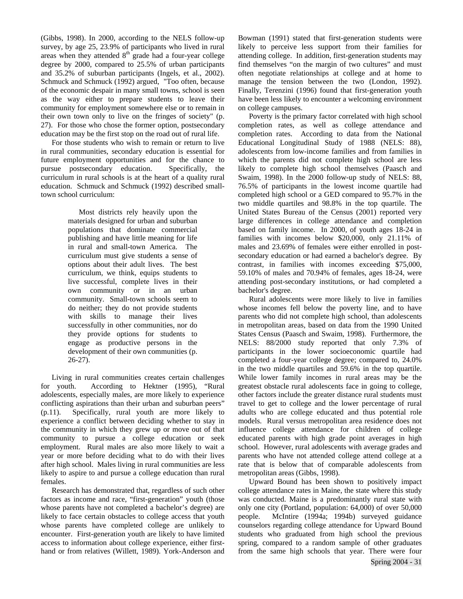(Gibbs, 1998). In 2000, according to the NELS follow-up survey, by age 25, 23.9% of participants who lived in rural areas when they attended  $8<sup>th</sup>$  grade had a four-year college degree by 2000, compared to 25.5% of urban participants and 35.2% of suburban participants (Ingels, et al., 2002). Schmuck and Schmuck (1992) argued, "Too often, because of the economic despair in many small towns, school is seen as the way either to prepare students to leave their community for employment somewhere else or to remain in their own town only to live on the fringes of society" (p. 27). For those who chose the former option, postsecondary education may be the first stop on the road out of rural life.

For those students who wish to remain or return to live in rural communities, secondary education is essential for future employment opportunities and for the chance to pursue postsecondary education. Specifically, the curriculum in rural schools is at the heart of a quality rural education. Schmuck and Schmuck (1992) described smalltown school curriculum:

> Most districts rely heavily upon the materials designed for urban and suburban populations that dominate commercial publishing and have little meaning for life in rural and small-town America. The curriculum must give students a sense of options about their adult lives. The best curriculum, we think, equips students to live successful, complete lives in their own community or in an urban community. Small-town schools seem to do neither; they do not provide students with skills to manage their lives successfully in other communities, nor do they provide options for students to engage as productive persons in the development of their own communities (p. 26-27).

Living in rural communities creates certain challenges for youth. According to Hektner (1995), "Rural adolescents, especially males, are more likely to experience conflicting aspirations than their urban and suburban peers" (p.11). Specifically, rural youth are more likely to experience a conflict between deciding whether to stay in the community in which they grew up or move out of that community to pursue a college education or seek employment. Rural males are also more likely to wait a year or more before deciding what to do with their lives after high school. Males living in rural communities are less likely to aspire to and pursue a college education than rural females.

Research has demonstrated that, regardless of such other factors as income and race, "first-generation" youth (those whose parents have not completed a bachelor's degree) are likely to face certain obstacles to college access that youth whose parents have completed college are unlikely to encounter. First-generation youth are likely to have limited access to information about college experience, either firsthand or from relatives (Willett, 1989). York-Anderson and

Bowman (1991) stated that first-generation students were likely to perceive less support from their families for attending college. In addition, first-generation students may find themselves "on the margin of two cultures" and must often negotiate relationships at college and at home to manage the tension between the two (London, 1992). Finally, Terenzini (1996) found that first-generation youth have been less likely to encounter a welcoming environment on college campuses.

Poverty is the primary factor correlated with high school completion rates, as well as college attendance and completion rates. According to data from the National Educational Longitudinal Study of 1988 (NELS: 88), adolescents from low-income families and from families in which the parents did not complete high school are less likely to complete high school themselves (Paasch and Swaim, 1998). In the 2000 follow-up study of NELS: 88, 76.5% of participants in the lowest income quartile had completed high school or a GED compared to 95.7% in the two middle quartiles and 98.8% in the top quartile. The United States Bureau of the Census (2001) reported very large differences in college attendance and completion based on family income. In 2000, of youth ages 18-24 in families with incomes below \$20,000, only 21.11% of males and 23.69% of females were either enrolled in postsecondary education or had earned a bachelor's degree. By contrast, in families with incomes exceeding \$75,000, 59.10% of males and 70.94% of females, ages 18-24, were attending post-secondary institutions, or had completed a bachelor's degree.

Rural adolescents were more likely to live in families whose incomes fell below the poverty line, and to have parents who did not complete high school, than adolescents in metropolitan areas, based on data from the 1990 United States Census (Paasch and Swaim, 1998). Furthermore, the NELS: 88/2000 study reported that only 7.3% of participants in the lower socioeconomic quartile had completed a four-year college degree; compared to, 24.0% in the two middle quartiles and 59.6% in the top quartile. While lower family incomes in rural areas may be the greatest obstacle rural adolescents face in going to college, other factors include the greater distance rural students must travel to get to college and the lower percentage of rural adults who are college educated and thus potential role models. Rural versus metropolitan area residence does not influence college attendance for children of college educated parents with high grade point averages in high school. However, rural adolescents with average grades and parents who have not attended college attend college at a rate that is below that of comparable adolescents from metropolitan areas (Gibbs, 1998).

Upward Bound has been shown to positively impact college attendance rates in Maine, the state where this study was conducted. Maine is a predominantly rural state with only one city (Portland, population: 64,000) of over 50,000 people. McIntire (1994a; 1994b) surveyed guidance counselors regarding college attendance for Upward Bound students who graduated from high school the previous spring, compared to a random sample of other graduates from the same high schools that year. There were four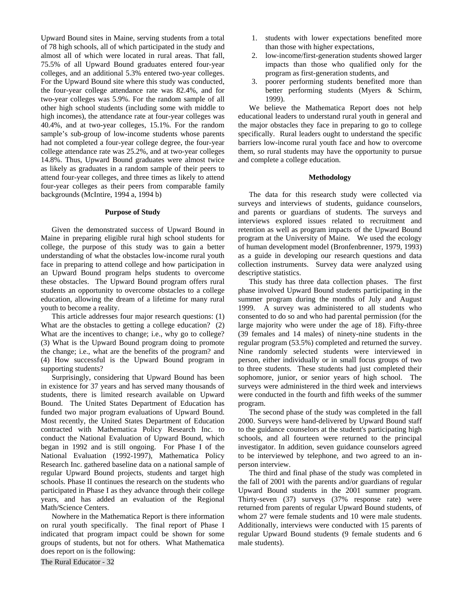Upward Bound sites in Maine, serving students from a total of 78 high schools, all of which participated in the study and almost all of which were located in rural areas. That fall, 75.5% of all Upward Bound graduates entered four-year colleges, and an additional 5.3% entered two-year colleges. For the Upward Bound site where this study was conducted, the four-year college attendance rate was 82.4%, and for two-year colleges was 5.9%. For the random sample of all other high school students (including some with middle to high incomes), the attendance rate at four-year colleges was 40.4%, and at two-year colleges, 15.1%. For the random sample's sub-group of low-income students whose parents had not completed a four-year college degree, the four-year college attendance rate was 25.2%, and at two-year colleges 14.8%. Thus, Upward Bound graduates were almost twice as likely as graduates in a random sample of their peers to attend four-year colleges, and three times as likely to attend four-year colleges as their peers from comparable family backgrounds (McIntire, 1994 a, 1994 b)

#### **Purpose of Study**

Given the demonstrated success of Upward Bound in Maine in preparing eligible rural high school students for college, the purpose of this study was to gain a better understanding of what the obstacles low-income rural youth face in preparing to attend college and how participation in an Upward Bound program helps students to overcome these obstacles. The Upward Bound program offers rural students an opportunity to overcome obstacles to a college education, allowing the dream of a lifetime for many rural youth to become a reality.

This article addresses four major research questions: (1) What are the obstacles to getting a college education? (2) What are the incentives to change; i.e., why go to college? (3) What is the Upward Bound program doing to promote the change; i.e., what are the benefits of the program? and (4) How successful is the Upward Bound program in supporting students?

Surprisingly, considering that Upward Bound has been in existence for 37 years and has served many thousands of students, there is limited research available on Upward Bound. The United States Department of Education has funded two major program evaluations of Upward Bound. Most recently, the United States Department of Education contracted with Mathematica Policy Research Inc. to conduct the National Evaluation of Upward Bound, which began in 1992 and is still ongoing. For Phase I of the National Evaluation (1992-1997), Mathematica Policy Research Inc. gathered baseline data on a national sample of regular Upward Bound projects, students and target high schools. Phase II continues the research on the students who participated in Phase I as they advance through their college years, and has added an evaluation of the Regional Math/Science Centers.

Nowhere in the Mathematica Report is there information on rural youth specifically. The final report of Phase I indicated that program impact could be shown for some groups of students, but not for others. What Mathematica does report on is the following:

- 1. students with lower expectations benefited more than those with higher expectations,
- 2. low-income/first-generation students showed larger impacts than those who qualified only for the program as first-generation students, and
- 3. poorer performing students benefited more than better performing students (Myers & Schirm, 1999).

We believe the Mathematica Report does not help educational leaders to understand rural youth in general and the major obstacles they face in preparing to go to college specifically. Rural leaders ought to understand the specific barriers low-income rural youth face and how to overcome them, so rural students may have the opportunity to pursue and complete a college education.

#### **Methodology**

The data for this research study were collected via surveys and interviews of students, guidance counselors, and parents or guardians of students. The surveys and interviews explored issues related to recruitment and retention as well as program impacts of the Upward Bound program at the University of Maine. We used the ecology of human development model (Bronfenbrenner, 1979, 1993) as a guide in developing our research questions and data collection instruments. Survey data were analyzed using descriptive statistics.

This study has three data collection phases. The first phase involved Upward Bound students participating in the summer program during the months of July and August 1999. A survey was administered to all students who consented to do so and who had parental permission (for the large majority who were under the age of 18). Fifty-three (39 females and 14 males) of ninety-nine students in the regular program (53.5%) completed and returned the survey. Nine randomly selected students were interviewed in person, either individually or in small focus groups of two to three students. These students had just completed their sophomore, junior, or senior years of high school. The surveys were administered in the third week and interviews were conducted in the fourth and fifth weeks of the summer program.

The second phase of the study was completed in the fall 2000. Surveys were hand-delivered by Upward Bound staff to the guidance counselors at the student's participating high schools, and all fourteen were returned to the principal investigator. In addition, seven guidance counselors agreed to be interviewed by telephone, and two agreed to an inperson interview.

The third and final phase of the study was completed in the fall of 2001 with the parents and/or guardians of regular Upward Bound students in the 2001 summer program. Thirty-seven (37) surveys (37% response rate) were returned from parents of regular Upward Bound students, of whom 27 were female students and 10 were male students. Additionally, interviews were conducted with 15 parents of regular Upward Bound students (9 female students and 6 male students).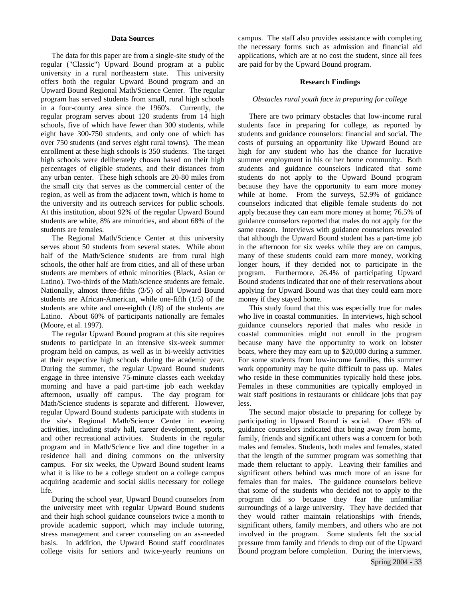#### **Data Sources**

The data for this paper are from a single-site study of the regular ("Classic") Upward Bound program at a public university in a rural northeastern state. This university offers both the regular Upward Bound program and an Upward Bound Regional Math/Science Center. The regular program has served students from small, rural high schools in a four-county area since the 1960's. Currently, the regular program serves about 120 students from 14 high schools, five of which have fewer than 300 students, while eight have 300-750 students, and only one of which has over 750 students (and serves eight rural towns). The mean enrollment at these high schools is 350 students. The target high schools were deliberately chosen based on their high percentages of eligible students, and their distances from any urban center. These high schools are 20-80 miles from the small city that serves as the commercial center of the region, as well as from the adjacent town, which is home to the university and its outreach services for public schools. At this institution, about 92% of the regular Upward Bound students are white, 8% are minorities, and about 68% of the students are females.

The Regional Math/Science Center at this university serves about 50 students from several states. While about half of the Math/Science students are from rural high schools, the other half are from cities, and all of these urban students are members of ethnic minorities (Black, Asian or Latino). Two-thirds of the Math/science students are female. Nationally, almost three-fifths (3/5) of all Upward Bound students are African-American, while one-fifth (1/5) of the students are white and one-eighth (1/8) of the students are Latino. About 60% of participants nationally are females (Moore, et al. 1997).

The regular Upward Bound program at this site requires students to participate in an intensive six-week summer program held on campus, as well as in bi-weekly activities at their respective high schools during the academic year. During the summer, the regular Upward Bound students engage in three intensive 75-minute classes each weekday morning and have a paid part-time job each weekday afternoon, usually off campus. The day program for Math/Science students is separate and different. However, regular Upward Bound students participate with students in the site's Regional Math/Science Center in evening activities, including study hall, career development, sports, and other recreational activities. Students in the regular program and in Math/Science live and dine together in a residence hall and dining commons on the university campus. For six weeks, the Upward Bound student learns what it is like to be a college student on a college campus acquiring academic and social skills necessary for college life.

During the school year, Upward Bound counselors from the university meet with regular Upward Bound students and their high school guidance counselors twice a month to provide academic support, which may include tutoring, stress management and career counseling on an as-needed basis. In addition, the Upward Bound staff coordinates college visits for seniors and twice-yearly reunions on campus. The staff also provides assistance with completing the necessary forms such as admission and financial aid applications, which are at no cost the student, since all fees are paid for by the Upward Bound program.

#### **Research Findings**

#### *Obstacles rural youth face in preparing for college*

There are two primary obstacles that low-income rural students face in preparing for college, as reported by students and guidance counselors: financial and social. The costs of pursuing an opportunity like Upward Bound are high for any student who has the chance for lucrative summer employment in his or her home community. Both students and guidance counselors indicated that some students do not apply to the Upward Bound program because they have the opportunity to earn more money while at home. From the surveys, 52.9% of guidance counselors indicated that eligible female students do not apply because they can earn more money at home; 76.5% of guidance counselors reported that males do not apply for the same reason. Interviews with guidance counselors revealed that although the Upward Bound student has a part-time job in the afternoon for six weeks while they are on campus, many of these students could earn more money, working longer hours, if they decided not to participate in the program. Furthermore, 26.4% of participating Upward Bound students indicated that one of their reservations about applying for Upward Bound was that they could earn more money if they stayed home*.* 

This study found that this was especially true for males who live in coastal communities. In interviews, high school guidance counselors reported that males who reside in coastal communities might not enroll in the program because many have the opportunity to work on lobster boats, where they may earn up to \$20,000 during a summer. For some students from low-income families, this summer work opportunity may be quite difficult to pass up. Males who reside in these communities typically hold these jobs. Females in these communities are typically employed in wait staff positions in restaurants or childcare jobs that pay less.

The second major obstacle to preparing for college by participating in Upward Bound is social. Over 45% of guidance counselors indicated that being away from home, family, friends and significant others was a concern for both males and females. Students, both males and females, stated that the length of the summer program was something that made them reluctant to apply. Leaving their families and significant others behind was much more of an issue for females than for males. The guidance counselors believe that some of the students who decided not to apply to the program did so because they fear the unfamiliar surroundings of a large university. They have decided that they would rather maintain relationships with friends, significant others, family members, and others who are not involved in the program. Some students felt the social pressure from family and friends to drop out of the Upward Bound program before completion. During the interviews,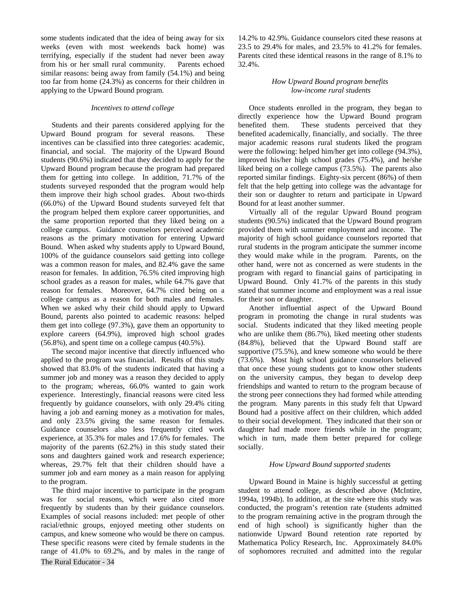some students indicated that the idea of being away for six weeks (even with most weekends back home) was terrifying, especially if the student had never been away from his or her small rural community. Parents echoed similar reasons: being away from family (54.1%) and being too far from home (24.3%) as concerns for their children in applying to the Upward Bound program.

#### *Incentives to attend college*

Students and their parents considered applying for the Upward Bound program for several reasons. These incentives can be classified into three categories: academic, financial, and social. The majority of the Upward Bound students (90.6%) indicated that they decided to apply for the Upward Bound program because the program had prepared them for getting into college. In addition, 71.7% of the students surveyed responded that the program would help them improve their high school grades. About two-thirds (66.0%) of the Upward Bound students surveyed felt that the program helped them explore career opportunities, and the same proportion reported that they liked being on a college campus. Guidance counselors perceived academic reasons as the primary motivation for entering Upward Bound. When asked why students apply to Upward Bound, 100% of the guidance counselors said getting into college was a common reason for males, and 82.4% gave the same reason for females. In addition, 76.5% cited improving high school grades as a reason for males, while 64.7% gave that reason for females. Moreover, 64.7% cited being on a college campus as a reason for both males and females. When we asked why their child should apply to Upward Bound, parents also pointed to academic reasons: helped them get into college (97.3%), gave them an opportunity to explore careers (64.9%), improved high school grades (56.8%), and spent time on a college campus (40.5%).

The second major incentive that directly influenced who applied to the program was financial. Results of this study showed that 83.0% of the students indicated that having a summer job and money was a reason they decided to apply to the program; whereas, 66.0% wanted to gain work experience. Interestingly, financial reasons were cited less frequently by guidance counselors, with only 29.4% citing having a job and earning money as a motivation for males, and only 23.5% giving the same reason for females. Guidance counselors also less frequently cited work experience, at 35.3% for males and 17.6% for females. The majority of the parents (62.2%) in this study stated their sons and daughters gained work and research experience; whereas, 29.7% felt that their children should have a summer job and earn money as a main reason for applying to the program.

The Rural Educator - 34 The third major incentive to participate in the program was for social reasons, which were also cited more frequently by students than by their guidance counselors. Examples of social reasons included: met people of other racial/ethnic groups, enjoyed meeting other students on campus, and knew someone who would be there on campus. These specific reasons were cited by female students in the range of 41.0% to 69.2%, and by males in the range of

14.2% to 42.9%. Guidance counselors cited these reasons at 23.5 to 29.4% for males, and 23.5% to 41.2% for females. Parents cited these identical reasons in the range of 8.1% to 32.4%.

# *How Upward Bound program benefits low-income rural students*

Once students enrolled in the program, they began to directly experience how the Upward Bound program benefited them. These students perceived that they benefited academically, financially, and socially. The three major academic reasons rural students liked the program were the following: helped him/her get into college (94.3%), improved his/her high school grades (75.4%), and he/she liked being on a college campus (73.5%). The parents also reported similar findings. Eighty-six percent (86%) of them felt that the help getting into college was the advantage for their son or daughter to return and participate in Upward Bound for at least another summer.

Virtually all of the regular Upward Bound program students (90.5%) indicated that the Upward Bound program provided them with summer employment and income. The majority of high school guidance counselors reported that rural students in the program anticipate the summer income they would make while in the program. Parents, on the other hand, were not as concerned as were students in the program with regard to financial gains of participating in Upward Bound. Only 41.7% of the parents in this study stated that summer income and employment was a real issue for their son or daughter.

Another influential aspect of the Upward Bound program in promoting the change in rural students was social. Students indicated that they liked meeting people who are unlike them (86.7%), liked meeting other students (84.8%), believed that the Upward Bound staff are supportive (75.5%), and knew someone who would be there (73.6%). Most high school guidance counselors believed that once these young students got to know other students on the university campus, they began to develop deep friendships and wanted to return to the program because of the strong peer connections they had formed while attending the program. Many parents in this study felt that Upward Bound had a positive affect on their children, which added to their social development. They indicated that their son or daughter had made more friends while in the program; which in turn, made them better prepared for college socially.

## *How Upward Bound supported students*

Upward Bound in Maine is highly successful at getting student to attend college, as described above (McIntire, 1994a, 1994b). In addition, at the site where this study was conducted, the program's retention rate (students admitted to the program remaining active in the program through the end of high school) is significantly higher than the nationwide Upward Bound retention rate reported by Mathematica Policy Research, Inc. Approximately 84.0% of sophomores recruited and admitted into the regular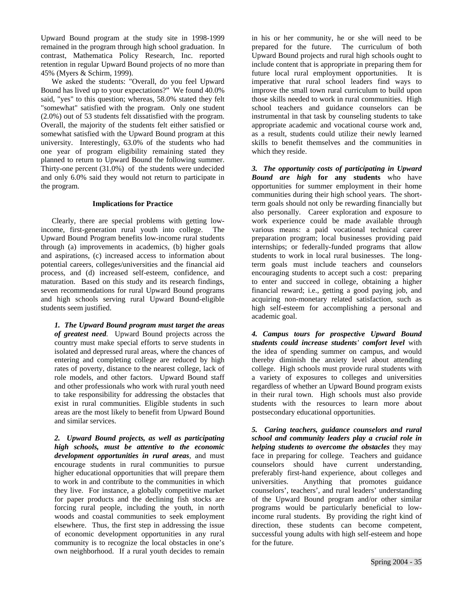Upward Bound program at the study site in 1998-1999 remained in the program through high school graduation. In contrast, Mathematica Policy Research, Inc. reported retention in regular Upward Bound projects of no more than 45% (Myers & Schirm, 1999).

We asked the students: "Overall, do you feel Upward Bound has lived up to your expectations?" We found 40.0% said, "yes" to this question; whereas, 58.0% stated they felt "somewhat" satisfied with the program. Only one student (2.0%) out of 53 students felt dissatisfied with the program. Overall, the majority of the students felt either satisfied or somewhat satisfied with the Upward Bound program at this university. Interestingly, 63.0% of the students who had one year of program eligibility remaining stated they planned to return to Upward Bound the following summer. Thirty-one percent (31.0%) of the students were undecided and only 6.0% said they would not return to participate in the program.

## **Implications for Practice**

Clearly, there are special problems with getting lowincome, first-generation rural youth into college. The Upward Bound Program benefits low-income rural students through (a) improvements in academics, (b) higher goals and aspirations, (c) increased access to information about potential careers, colleges/universities and the financial aid process, and (d) increased self-esteem, confidence, and maturation. Based on this study and its research findings, seven recommendations for rural Upward Bound programs and high schools serving rural Upward Bound-eligible students seem justified.

*1. The Upward Bound program must target the areas of greatest need.* Upward Bound projects across the country must make special efforts to serve students in isolated and depressed rural areas, where the chances of entering and completing college are reduced by high rates of poverty, distance to the nearest college, lack of role models, and other factors. Upward Bound staff and other professionals who work with rural youth need to take responsibility for addressing the obstacles that exist in rural communities. Eligible students in such areas are the most likely to benefit from Upward Bound and similar services.

*2. Upward Bound projects, as well as participating high schools, must be attentive to the economic development opportunities in rural areas*, and must encourage students in rural communities to pursue higher educational opportunities that will prepare them to work in and contribute to the communities in which they live. For instance, a globally competitive market for paper products and the declining fish stocks are forcing rural people, including the youth, in north woods and coastal communities to seek employment elsewhere. Thus, the first step in addressing the issue of economic development opportunities in any rural community is to recognize the local obstacles in one's own neighborhood. If a rural youth decides to remain

in his or her community, he or she will need to be prepared for the future. The curriculum of both Upward Bound projects and rural high schools ought to include content that is appropriate in preparing them for future local rural employment opportunities. It is imperative that rural school leaders find ways to improve the small town rural curriculum to build upon those skills needed to work in rural communities. High school teachers and guidance counselors can be instrumental in that task by counseling students to take appropriate academic and vocational course work and, as a result, students could utilize their newly learned skills to benefit themselves and the communities in which they reside.

*3. The opportunity costs of participating in Upward Bound are high* **for any students** who have opportunities for summer employment in their home communities during their high school years. The shortterm goals should not only be rewarding financially but also personally. Career exploration and exposure to work experience could be made available through various means: a paid vocational technical career preparation program; local businesses providing paid internships; or federally-funded programs that allow students to work in local rural businesses. The longterm goals must include teachers and counselors encouraging students to accept such a cost: preparing to enter and succeed in college, obtaining a higher financial reward; i.e., getting a good paying job, and acquiring non-monetary related satisfaction, such as high self-esteem for accomplishing a personal and academic goal.

*4. Campus tours for prospective Upward Bound students could increase students' comfort level* with the idea of spending summer on campus, and would thereby diminish the anxiety level about attending college. High schools must provide rural students with a variety of exposures to colleges and universities regardless of whether an Upward Bound program exists in their rural town. High schools must also provide students with the resources to learn more about postsecondary educational opportunities.

*5. Caring teachers, guidance counselors and rural school and community leaders play a crucial role in helping students to overcome the obstacles* they may face in preparing for college. Teachers and guidance counselors should have current understanding, preferably first-hand experience, about colleges and universities. Anything that promotes guidance counselors', teachers', and rural leaders' understanding of the Upward Bound program and/or other similar programs would be particularly beneficial to lowincome rural students. By providing the right kind of direction, these students can become competent, successful young adults with high self-esteem and hope for the future.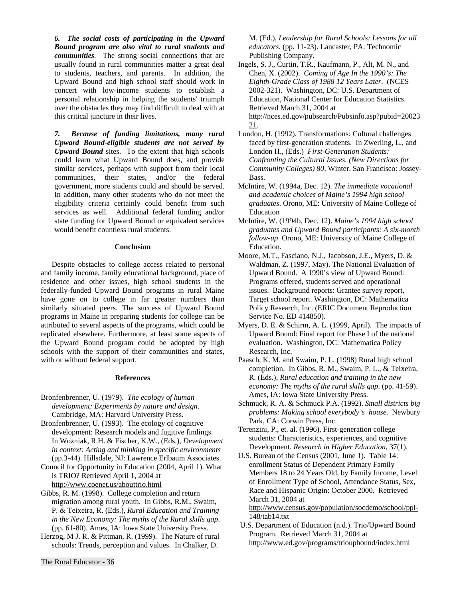*6. The social costs of participating in the Upward Bound program are also vital to rural students and communities.* The strong social connections that are usually found in rural communities matter a great deal to students, teachers, and parents. In addition, the Upward Bound and high school staff should work in concert with low-income students to establish a personal relationship in helping the students' triumph over the obstacles they may find difficult to deal with at this critical juncture in their lives.

*7. Because of funding limitations, many rural Upward Bound-eligible students are not served by Upward Bound* sites. To the extent that high schools could learn what Upward Bound does, and provide similar services, perhaps with support from their local communities, their states, and/or the federal government, more students could and should be served. In addition, many other students who do not meet the eligibility criteria certainly could benefit from such services as well. Additional federal funding and/or state funding for Upward Bound or equivalent services would benefit countless rural students.

#### **Conclusion**

Despite obstacles to college access related to personal and family income, family educational background, place of residence and other issues, high school students in the federally-funded Upward Bound programs in rural Maine have gone on to college in far greater numbers than similarly situated peers. The success of Upward Bound programs in Maine in preparing students for college can be attributed to several aspects of the programs, which could be replicated elsewhere. Furthermore, at least some aspects of the Upward Bound program could be adopted by high schools with the support of their communities and states, with or without federal support.

### **References**

- Bronfenbrenner, U. (1979). *The ecology of human development: Experiments by nature and design*. Cambridge, MA: Harvard University Press.
- Bronfenbrenner, U. (1993). The ecology of cognitive development: Research models and fugitive findings. In Wozniak, R.H. & Fischer, K.W., (Eds.), *Development in context: Acting and thinking in specific environments* (pp.3-44). Hillsdale, NJ: Lawrence Erlbaum Associates.
- Council for Opportunity in Education (2004, April 1). What is TRIO? Retrieved April 1, 2004 at http://www.coenet.us/abouttrio.html
- Gibbs, R. M. (1998). College completion and return migration among rural youth. In Gibbs, R.M., Swaim, P. & Teixeira, R. (Eds.), *Rural Education and Training in the New Economy: The myths of the Rural skills gap*. (pp. 61-80). Ames, IA: Iowa State University Press.
- Herzog, M J. R. & Pittman, R. (1999). The Nature of rural schools: Trends, perception and values. In Chalker, D.

M. (Ed.), *Leadership for Rural Schools: Lessons for all educators*. (pp. 11-23). Lancaster, PA: Technomic Publishing Company.

- Ingels, S. J., Curtin, T.R., Kaufmann, P., Alt, M. N., and Chen, X. (2002). *Coming of Age In the 1990's: The Eighth-Grade Class of 1988 12 Years Later*. (NCES 2002-321). Washington, DC: U.S. Department of Education, National Center for Education Statistics. Retrieved March 31, 2004 at http://nces.ed.gov/pubsearch/Pubsinfo.asp?pubid=20023 21.
- London, H. (1992). Transformations: Cultural challenges faced by first-generation students. In Zwerling, L., and London H., (Eds.) *First-Generation Students: Confronting the Cultural Issues. (New Directions for Community Colleges) 80*, Winter. San Francisco: Jossey-Bass.
- McIntire, W. (1994a, Dec. 12). *The immediate vocational and academic choices of Maine's 1994 high school graduates*. Orono, ME: University of Maine College of Education
- McIntire, W. (1994b, Dec. 12). *Maine's 1994 high school graduates and Upward Bound participants: A six-month follow-up*. Orono, ME: University of Maine College of Education.
- Moore, M.T., Fasciano, N.J., Jacobson, J.E., Myers, D. & Waldman, Z. (1997, May). The National Evaluation of Upward Bound. A 1990's view of Upward Bound: Programs offered, students served and operational issues. Background reports: Grantee survey report, Target school report. Washington, DC: Mathematica Policy Research, Inc. (ERIC Document Reproduction Service No. ED 414850).
- Myers, D. E. & Schirm, A. L. (1999, April). The impacts of Upward Bound: Final report for Phase I of the national evaluation. Washington, DC: Mathematica Policy Research, Inc.
- Paasch, K. M. and Swaim, P. L. (1998) Rural high school completion. In Gibbs, R. M., Swaim, P. L., & Teixeira, R. (Eds.), *Rural education and training in the new economy: The myths of the rural skills gap*. (pp. 41-59). Ames, IA: Iowa State University Press.
- Schmuck, R. A. & Schmuck P.A. (1992). *Small districts big problems: Making school everybody's house*. Newbury Park, CA: Corwin Press, Inc.
- Terenzini, P., et. al. (1996), First-generation college students: Characteristics, experiences, and cognitive Development. *Research in Higher Education*, 37(1).
- U.S. Bureau of the Census (2001, June 1). Table 14: enrollment Status of Dependent Primary Family Members 18 to 24 Years Old, by Family Income, Level of Enrollment Type of School, Attendance Status, Sex, Race and Hispanic Origin: October 2000. Retrieved March 31, 2004 at

http://www.census.gov/population/socdemo/school/ppl-148/tab14.txt

 U.S. Department of Education (n.d.). Trio/Upward Bound Program. Retrieved March 31, 2004 at http://www.ed.gov/programs/trioupbound/index.html